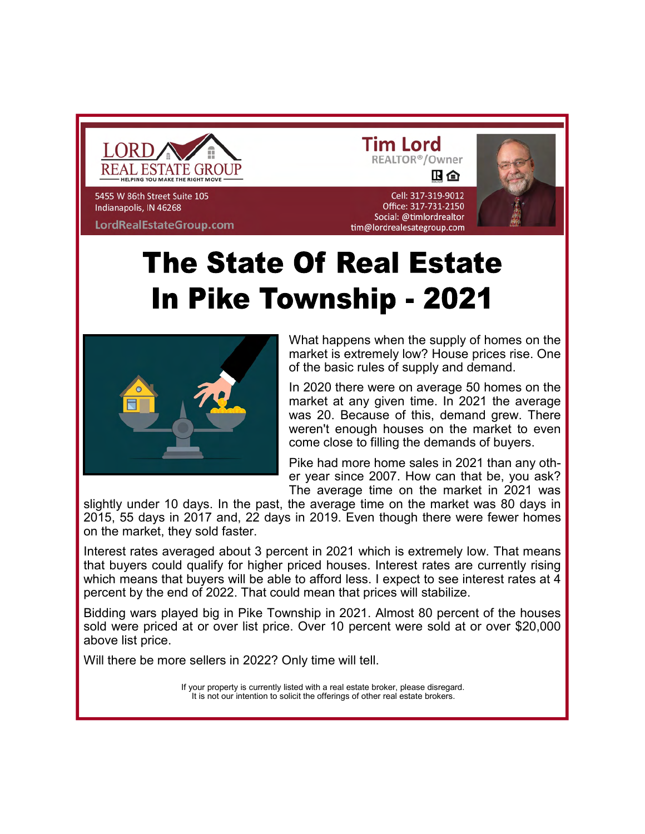

5455 W 86th Street Suite 105 Indianapolis, IN 46268 LordRealEstateGroup.com

旧合 Cell: 317-319-9012

REALTOR<sup>®</sup>/Owner

**Tim Lord** 

### Office: 317-731-2150 Social: @timlordrealtor tim@lordrealesategroup.com **The State Of Real Estate**

# **In Pike Township - 2021**



What happens when the supply of homes on the market is extremely low? House prices rise. One of the basic rules of supply and demand.

In 2020 there were on average 50 homes on the market at any given time. In 2021 the average was 20. Because of this, demand grew. There weren't enough houses on the market to even come close to filling the demands of buyers.

Pike had more home sales in 2021 than any other year since 2007. How can that be, you ask? The average time on the market in 2021 was

slightly under 10 days. In the past, the average time on the market was 80 days in 2015, 55 days in 2017 and, 22 days in 2019. Even though there were fewer homes on the market, they sold faster.

Interest rates averaged about 3 percent in 2021 which is extremely low. That means that buyers could qualify for higher priced houses. Interest rates are currently rising which means that buyers will be able to afford less. I expect to see interest rates at 4 percent by the end of 2022. That could mean that prices will stabilize.

Bidding wars played big in Pike Township in 2021. Almost 80 percent of the houses sold were priced at or over list price. Over 10 percent were sold at or over \$20,000 above list price.

Will there be more sellers in 2022? Only time will tell.

If your property is currently listed with a real estate broker, please disregard. It is not our intention to solicit the offerings of other real estate brokers.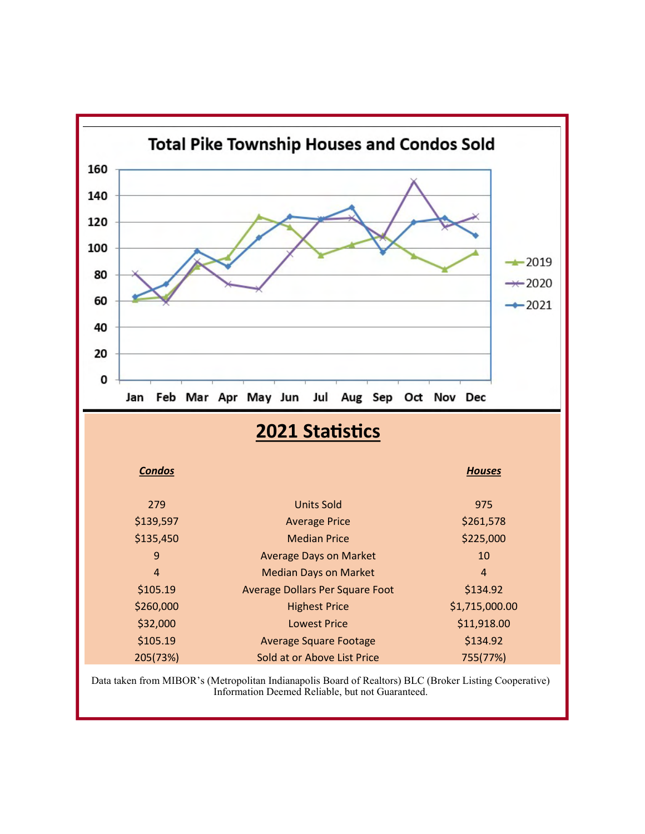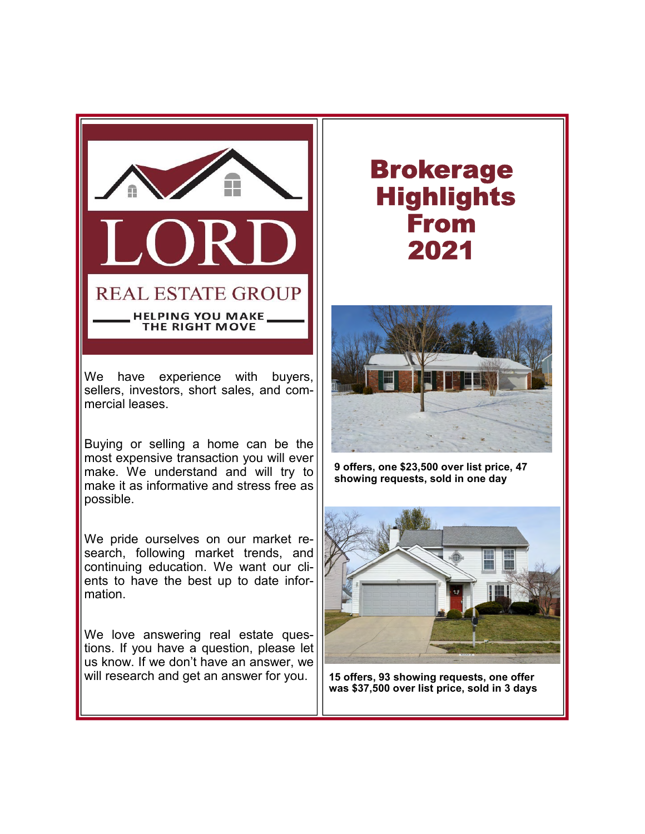

We have experience with buyers, sellers, investors, short sales, and commercial leases.

Buying or selling a home can be the most expensive transaction you will ever make. We understand and will try to make it as informative and stress free as possible.

We pride ourselves on our market research, following market trends, and continuing education. We want our clients to have the best up to date information.

We love answering real estate questions. If you have a question, please let us know. If we don't have an answer, we will research and get an answer for you.

## Brokerage Highlights From 2021



9 offers, one \$23,500 over list price, 47 showing requests, sold in one day



15 offers, 93 showing requests, one offer was \$37,500 over list price, sold in 3 days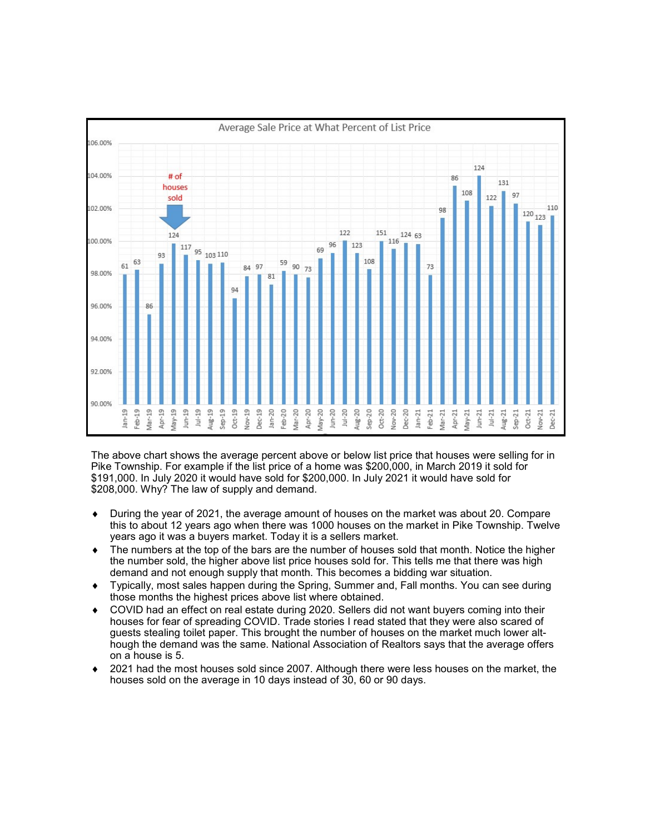

The above chart shows the average percent above or below list price that houses were selling for in Pike Township. For example if the list price of a home was \$200,000, in March 2019 it sold for \$191,000. In July 2020 it would have sold for \$200,000. In July 2021 it would have sold for \$208,000. Why? The law of supply and demand.

- ◆ During the year of 2021, the average amount of houses on the market was about 20. Compare this to about 12 years ago when there was 1000 houses on the market in Pike Township. Twelve years ago it was a buyers market. Today it is a sellers market.
- $\bullet$  The numbers at the top of the bars are the number of houses sold that month. Notice the higher the number sold, the higher above list price houses sold for. This tells me that there was high demand and not enough supply that month. This becomes a bidding war situation.
- ◆ Typically, most sales happen during the Spring, Summer and, Fall months. You can see during those months the highest prices above list where obtained.
- ◆ COVID had an effect on real estate during 2020. Sellers did not want buyers coming into their houses for fear of spreading COVID. Trade stories I read stated that they were also scared of guests stealing toilet paper. This brought the number of houses on the market much lower although the demand was the same. National Association of Realtors says that the average offers on a house is 5.
- $\bullet$  2021 had the most houses sold since 2007. Although there were less houses on the market, the houses sold on the average in 10 days instead of 30, 60 or 90 days.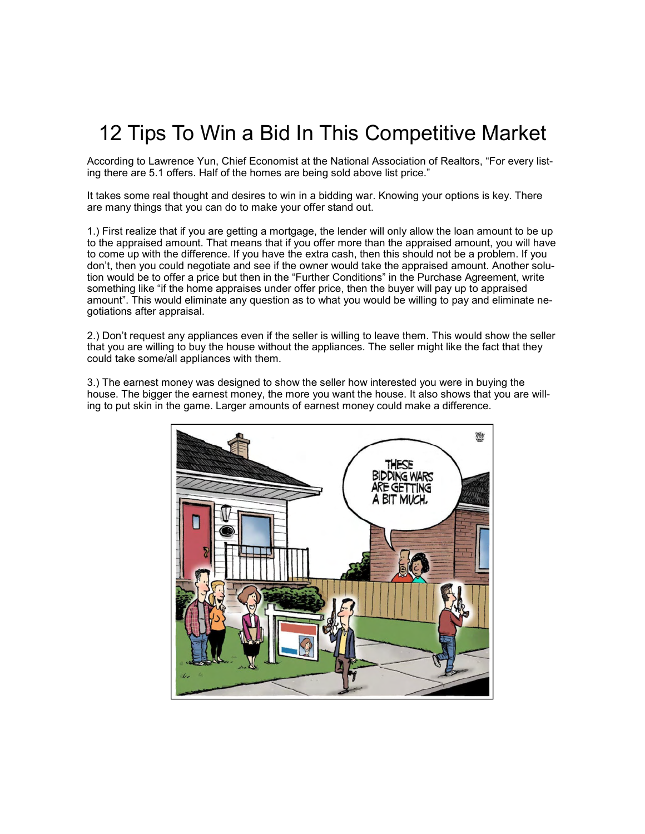## 12 Tips To Win a Bid In This Competitive Market

According to Lawrence Yun, Chief Economist at the National Association of Realtors, "For every listing there are 5.1 offers. Half of the homes are being sold above list price."

It takes some real thought and desires to win in a bidding war. Knowing your options is key. There are many things that you can do to make your offer stand out.

1.) First realize that if you are getting a mortgage, the lender will only allow the loan amount to be up to the appraised amount. That means that if you offer more than the appraised amount, you will have to come up with the difference. If you have the extra cash, then this should not be a problem. If you don't, then you could negotiate and see if the owner would take the appraised amount. Another solution would be to offer a price but then in the "Further Conditions" in the Purchase Agreement, write something like "if the home appraises under offer price, then the buyer will pay up to appraised amount". This would eliminate any question as to what you would be willing to pay and eliminate negotiations after appraisal.

2.) Don't request any appliances even if the seller is willing to leave them. This would show the seller that you are willing to buy the house without the appliances. The seller might like the fact that they could take some/all appliances with them.

3.) The earnest money was designed to show the seller how interested you were in buying the house. The bigger the earnest money, the more you want the house. It also shows that you are willing to put skin in the game. Larger amounts of earnest money could make a difference.

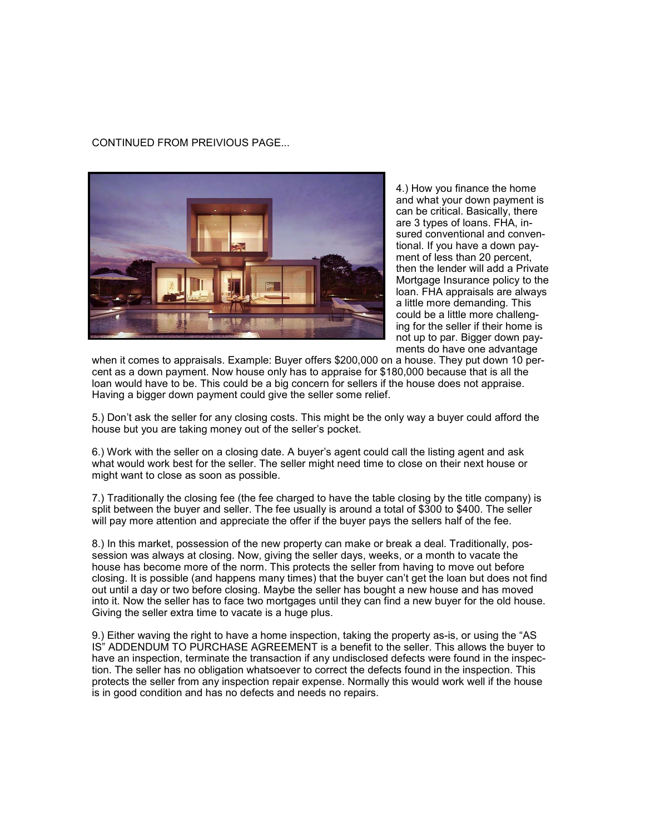#### CONTINUED FROM PREIVIOUS PAGE...



4.) How you finance the home and what your down payment is can be critical. Basically, there are 3 types of loans. FHA, insured conventional and conventional. If you have a down payment of less than 20 percent, then the lender will add a Private Mortgage Insurance policy to the loan. FHA appraisals are always a little more demanding. This could be a little more challenging for the seller if their home is not up to par. Bigger down payments do have one advantage

when it comes to appraisals. Example: Buyer offers \$200,000 on a house. They put down 10 percent as a down payment. Now house only has to appraise for \$180,000 because that is all the loan would have to be. This could be a big concern for sellers if the house does not appraise. Having a bigger down payment could give the seller some relief.

5.) Don't ask the seller for any closing costs. This might be the only way a buyer could afford the house but you are taking money out of the seller's pocket.

6.) Work with the seller on a closing date. A buyer's agent could call the listing agent and ask what would work best for the seller. The seller might need time to close on their next house or might want to close as soon as possible.

7.) Traditionally the closing fee (the fee charged to have the table closing by the title company) is split between the buyer and seller. The fee usually is around a total of \$300 to \$400. The seller will pay more attention and appreciate the offer if the buyer pays the sellers half of the fee.

8.) In this market, possession of the new property can make or break a deal. Traditionally, possession was always at closing. Now, giving the seller days, weeks, or a month to vacate the house has become more of the norm. This protects the seller from having to move out before closing. It is possible (and happens many times) that the buyer can't get the loan but does not find out until a day or two before closing. Maybe the seller has bought a new house and has moved into it. Now the seller has to face two mortgages until they can find a new buyer for the old house. Giving the seller extra time to vacate is a huge plus.

9.) Either waving the right to have a home inspection, taking the property as-is, or using the "AS IS" ADDENDUM TO PURCHASE AGREEMENT is a benefit to the seller. This allows the buyer to have an inspection, terminate the transaction if any undisclosed defects were found in the inspection. The seller has no obligation whatsoever to correct the defects found in the inspection. This protects the seller from any inspection repair expense. Normally this would work well if the house is in good condition and has no defects and needs no repairs.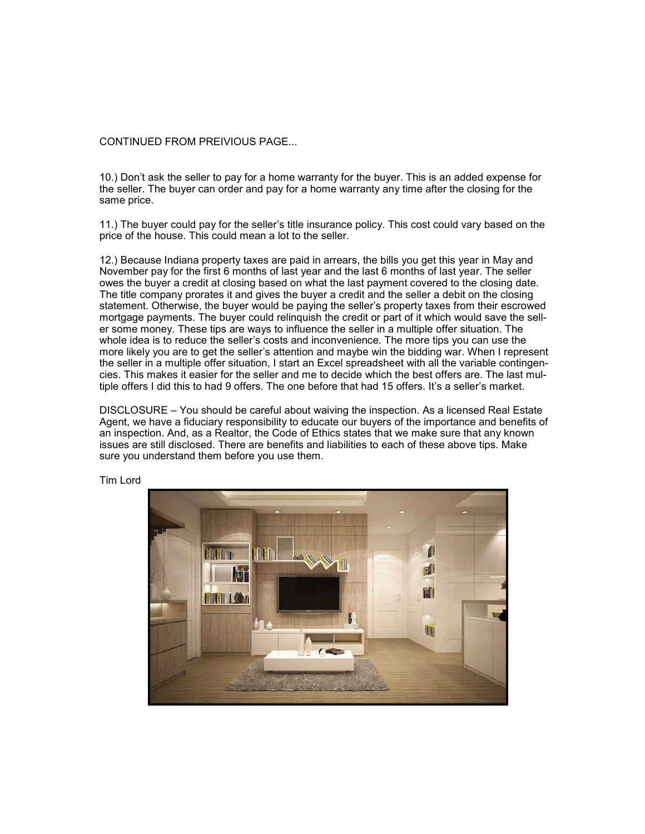#### CONTINUED FROM PREIVIOUS PAGE...

10.) Don't ask the seller to pay for a home warranty for the buyer. This is an added expense for the seller. The buyer can order and pay for a home warranty any time after the closing for the same price.

11.) The buyer could pay for the seller's title insurance policy. This cost could vary based on the price of the house. This could mean a lot to the seller.

12.) Because Indiana property taxes are paid in arrears, the bills you get this year in May and November pay for the first 6 months of last year and the last 6 months of last year. The seller owes the buyer a credit at closing based on what the last payment covered to the closing date. The title company prorates it and gives the buyer a credit and the seller a debit on the closing statement. Otherwise, the buyer would be paying the seller's property taxes from their escrowed mortgage payments. The buyer could relinquish the credit or part of it which would save the seller some money. These tips are ways to influence the seller in a multiple offer situation. The whole idea is to reduce the seller's costs and inconvenience. The more tips you can use the more likely you are to get the seller's attention and maybe win the bidding war. When I represent the seller in a multiple offer situation, I start an Excel spreadsheet with all the variable contingencies. This makes it easier for the seller and me to decide which the best offers are. The last multiple offers I did this to had 9 offers. The one before that had 15 offers. It's a seller's market.

DISCLOSURE – You should be careful about waiving the inspection. As a licensed Real Estate Agent, we have a fiduciary responsibility to educate our buyers of the importance and benefits of an inspection. And, as a Realtor, the Code of Ethics states that we make sure that any known issues are still disclosed. There are benefits and liabilities to each of these above tips. Make sure you understand them before you use them.



Tim Lord